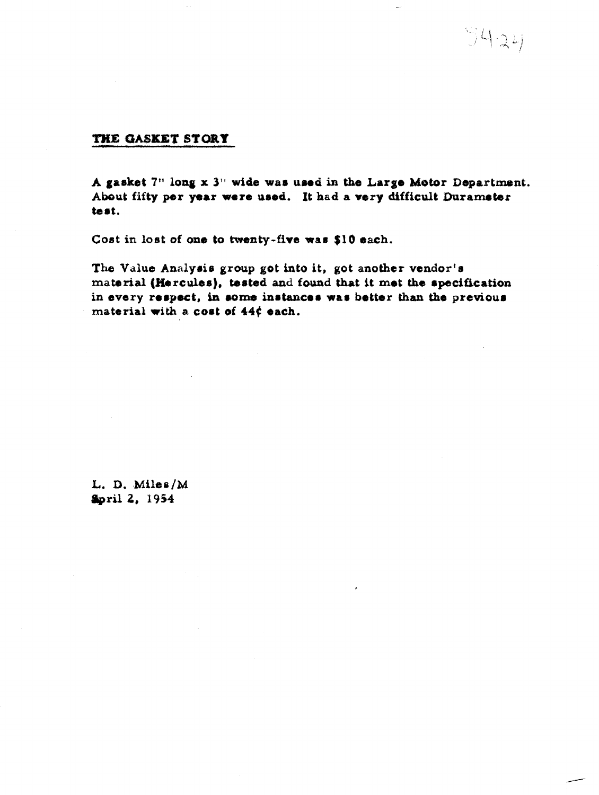$9424$ 

## THE GASKET STORY

**A gasket 7" long x 3" wide war umd in tho Large Mstor Departmnt. About fifty per par wore ured. It had a** *very* **difficult Durarnebr**  test.

**Cost in lost of one to twenty-fire war \$10 each.** 

The Value Analysis group got into it, got another vendor's **material (W[.rcules), tested and found that it met the rpacification**  in every respect, in some instances was better than the previous material with a cost of  $44f$  each.

L. D. Miles/M **Spril 2, 1954**